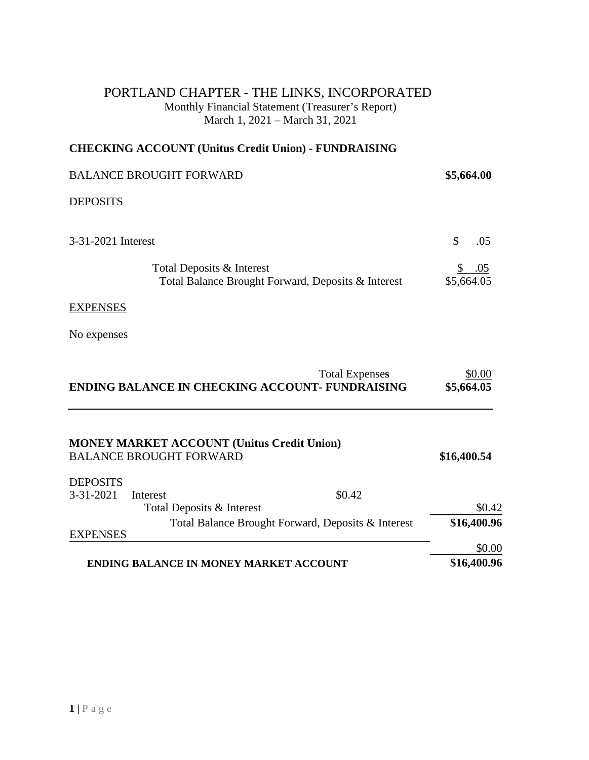#### PORTLAND CHAPTER - THE LINKS, INCORPORATED Monthly Financial Statement (Treasurer's Report) March 1, 2021 – March 31, 2021

## **CHECKING ACCOUNT (Unitus Credit Union) - FUNDRAISING**

| <b>BALANCE BROUGHT FORWARD</b>                                                  | \$5,664.00        |
|---------------------------------------------------------------------------------|-------------------|
| <b>DEPOSITS</b>                                                                 |                   |
| 3-31-2021 Interest                                                              | \$<br>.05         |
| Total Deposits & Interest<br>Total Balance Brought Forward, Deposits & Interest | .05<br>\$5,664.05 |
| <b>EXPENSES</b>                                                                 |                   |
| No expenses                                                                     |                   |

|                                                        | \$0.00<br><b>Total Expenses</b> |
|--------------------------------------------------------|---------------------------------|
| <b>ENDING BALANCE IN CHECKING ACCOUNT- FUNDRAISING</b> | \$5,664.05                      |

|                 | <b>MONEY MARKET ACCOUNT (Unitus Credit Union)</b><br><b>BALANCE BROUGHT FORWARD</b> |        | \$16,400.54 |
|-----------------|-------------------------------------------------------------------------------------|--------|-------------|
| <b>DEPOSITS</b> |                                                                                     |        |             |
| $3 - 31 - 2021$ | Interest                                                                            | \$0.42 |             |
|                 | Total Deposits & Interest                                                           |        | \$0.42      |
|                 | Total Balance Brought Forward, Deposits & Interest                                  |        | \$16,400.96 |
| <b>EXPENSES</b> |                                                                                     |        |             |
|                 |                                                                                     |        | \$0.00      |
|                 | <b>ENDING BALANCE IN MONEY MARKET ACCOUNT</b>                                       |        | \$16,400.96 |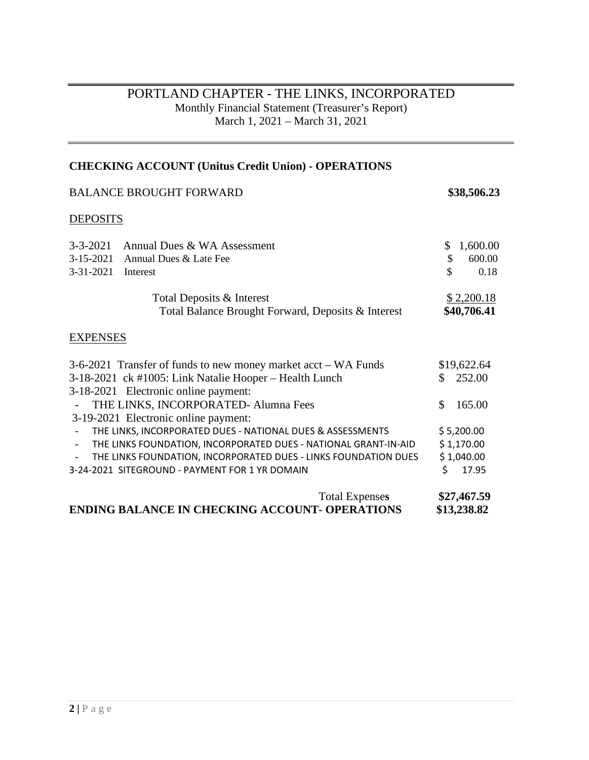# PORTLAND CHAPTER - THE LINKS, INCORPORATED Monthly Financial Statement (Treasurer's Report) March 1, 2021 – March 31, 2021

# **CHECKING ACCOUNT (Unitus Credit Union) - OPERATIONS**

|                                            | <b>BALANCE BROUGHT FORWARD</b>                                                                                                                                   | \$38,506.23                                  |
|--------------------------------------------|------------------------------------------------------------------------------------------------------------------------------------------------------------------|----------------------------------------------|
| <b>DEPOSITS</b>                            |                                                                                                                                                                  |                                              |
| $3 - 3 - 2021$<br>$3-15-2021$<br>3-31-2021 | Annual Dues & WA Assessment<br>Annual Dues & Late Fee<br>Interest                                                                                                | \$<br>1,600.00<br>\$<br>600.00<br>\$<br>0.18 |
|                                            | Total Deposits & Interest<br>Total Balance Brought Forward, Deposits & Interest                                                                                  | \$2,200.18<br>\$40,706.41                    |
| <b>EXPENSES</b>                            |                                                                                                                                                                  |                                              |
|                                            | 3-6-2021 Transfer of funds to new money market acct – WA Funds<br>3-18-2021 ck #1005: Link Natalie Hooper - Health Lunch<br>3-18-2021 Electronic online payment: | \$19,622.64<br>252.00<br>\$                  |
|                                            | THE LINKS, INCORPORATED- Alumna Fees<br>3-19-2021 Electronic online payment:                                                                                     | \$<br>165.00                                 |
|                                            | THE LINKS, INCORPORATED DUES - NATIONAL DUES & ASSESSMENTS                                                                                                       | \$5,200.00                                   |
|                                            | THE LINKS FOUNDATION, INCORPORATED DUES - NATIONAL GRANT-IN-AID                                                                                                  | \$1,170.00                                   |
|                                            | THE LINKS FOUNDATION, INCORPORATED DUES - LINKS FOUNDATION DUES<br>3-24-2021 SITEGROUND - PAYMENT FOR 1 YR DOMAIN                                                | \$1,040.00<br>Ś<br>17.95                     |
|                                            | <b>Total Expenses</b><br><b>ENDING BALANCE IN CHECKING ACCOUNT- OPERATIONS</b>                                                                                   | \$27,467.59<br>\$13,238.82                   |